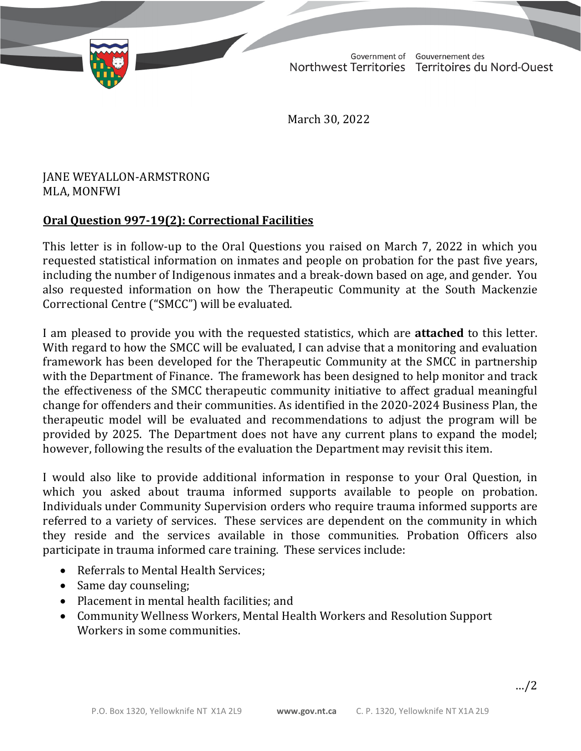TD 632-19(2) TABLED ON MARCH 31, 2022

Government of Gouvernement des Northwest Territories Territoires du Nord-Ouest

March 30, 2022

## JANE WEYALLON-ARMSTRONG MLA, MONFWI

## **Oral Question 997-19(2): Correctional Facilities**

This letter is in follow-up to the Oral Questions you raised on March 7, 2022 in which you requested statistical information on inmates and people on probation for the past five years, including the number of Indigenous inmates and a break-down based on age, and gender. You also requested information on how the Therapeutic Community at the South Mackenzie Correctional Centre ("SMCC") will be evaluated.

I am pleased to provide you with the requested statistics, which are **attached** to this letter. With regard to how the SMCC will be evaluated, I can advise that a monitoring and evaluation framework has been developed for the Therapeutic Community at the SMCC in partnership with the Department of Finance. The framework has been designed to help monitor and track the effectiveness of the SMCC therapeutic community initiative to affect gradual meaningful change for offenders and their communities. As identified in the 2020-2024 Business Plan, the therapeutic model will be evaluated and recommendations to adjust the program will be provided by 2025. The Department does not have any current plans to expand the model; however, following the results of the evaluation the Department may revisit this item.

I would also like to provide additional information in response to your Oral Question, in which you asked about trauma informed supports available to people on probation. Individuals under Community Supervision orders who require trauma informed supports are referred to a variety of services. These services are dependent on the community in which they reside and the services available in those communities. Probation Officers also participate in trauma informed care training. These services include:

- Referrals to Mental Health Services;
- Same day counseling:
- Placement in mental health facilities; and
- Community Wellness Workers, Mental Health Workers and Resolution Support Workers in some communities.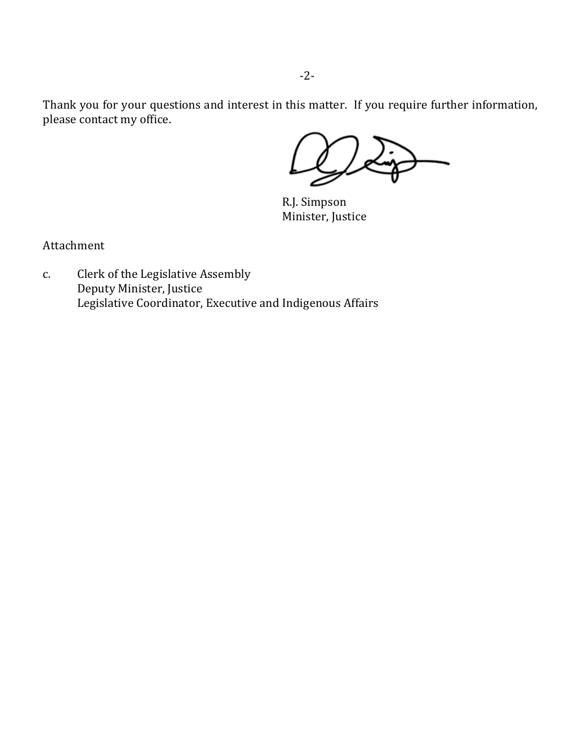Thank you for your questions and interest in this matter. If you require further information, please contact my office.

R.J. Simpson Minister, Justice

Attachment

c. Clerk of the Legislative Assembly Deputy Minister, Justice Legislative Coordinator, Executive and Indigenous Affairs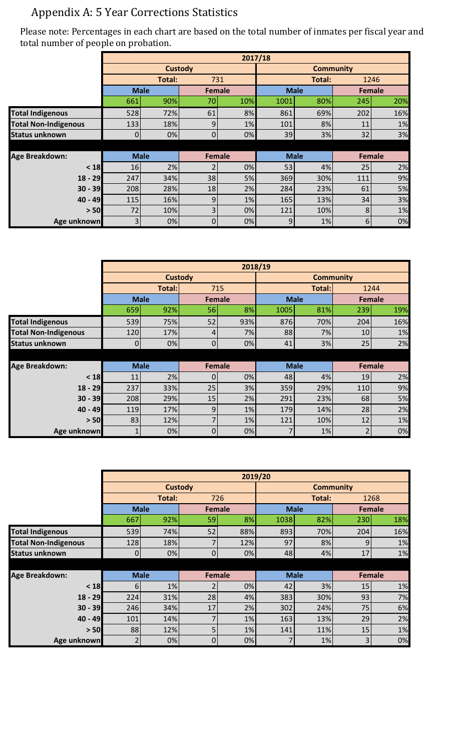## Appendix A: 5 Year Corrections Statistics

Please note: Percentages in each chart are based on the total number of inmates per fiscal year and total number of people on probation.

|                             | 2017/18     |             |                |     |                  |        |               |     |  |
|-----------------------------|-------------|-------------|----------------|-----|------------------|--------|---------------|-----|--|
|                             |             |             | <b>Custody</b> |     | <b>Community</b> |        |               |     |  |
|                             |             | Total:      |                | 731 |                  | Total: | 1246          |     |  |
|                             |             | <b>Male</b> | Female         |     | <b>Male</b>      |        | <b>Female</b> |     |  |
|                             | 661         | 90%         | 70             | 10% | 1001             | 80%    | 245           | 20% |  |
| <b>Total Indigenous</b>     | 528         | 72%         | 61             | 8%  | 861              | 69%    | 202           | 16% |  |
| <b>Total Non-Indigenous</b> | 133         | 18%         | 9              | 1%  | 101              | 8%     | 11            | 1%  |  |
| <b>Status unknown</b>       | $\Omega$    | 0%          | $\overline{0}$ | 0%  | 39               | 3%     | 32            | 3%  |  |
|                             |             |             |                |     |                  |        |               |     |  |
| <b>Age Breakdown:</b>       | <b>Male</b> |             | <b>Female</b>  |     | <b>Male</b>      |        | <b>Female</b> |     |  |
| $18$                        | 16          | 2%          |                | 0%  | 53               | 4%     | 25            | 2%  |  |
| $18 - 29$                   | 247         | 34%         | 38             | 5%  | 369              | 30%    | 111           | 9%  |  |
| $30 - 39$                   | 208         | 28%         | 18             | 2%  | 284              | 23%    | 61            | 5%  |  |
| $40 - 49$                   | 115         | 16%         | 9              | 1%  | 165              | 13%    | 34            | 3%  |  |
| > 50                        | 72          | 10%         | 3              | 0%  | 121              | 10%    | 8             | 1%  |  |
| Age unknown                 | 3           | 0%          | 0              | 0%  | 9                | 1%     | 6             | 0%  |  |

|                             | 2018/19        |             |               |     |                  |             |               |               |  |
|-----------------------------|----------------|-------------|---------------|-----|------------------|-------------|---------------|---------------|--|
|                             | <b>Custody</b> |             |               |     | <b>Community</b> |             |               |               |  |
|                             | Total:         |             |               | 715 |                  | Total:      | 1244          |               |  |
|                             |                | <b>Male</b> | Female        |     | <b>Male</b>      |             | <b>Female</b> |               |  |
|                             | 659            | 92%         | 56            | 8%  | 1005             | 81%         | 239           | 19%           |  |
| <b>Total Indigenous</b>     | 539            | 75%         | 52            | 93% | 876              | 70%         | 204           | 16%           |  |
| <b>Total Non-Indigenous</b> | 120            | 17%         | 4             | 7%  | 88               | 7%          | 10            | 1%            |  |
| <b>Status unknown</b>       | 0              | 0%          | $\mathbf 0$   | 0%  | 41               | 3%          | 25            | 2%            |  |
|                             |                |             |               |     |                  |             |               |               |  |
| <b>Age Breakdown:</b>       |                | <b>Male</b> | <b>Female</b> |     |                  | <b>Male</b> |               | <b>Female</b> |  |
| < 18                        | 11             | 2%          | $\Omega$      | 0%  | 48               | 4%          | 19            | 2%            |  |
| $18 - 29$                   | 237            | 33%         | 25            | 3%  | 359              | 29%         | 110           | 9%            |  |
| $30 - 39$                   | 208            | 29%         | 15            | 2%  | 291              | 23%         | 68            | 5%            |  |
| 40 - 49                     | 119            | 17%         | 9             | 1%  | 179              | 14%         | 28            | 2%            |  |
| > 50                        | 83             | 12%         |               | 1%  | 121              | 10%         | 12            | 1%            |  |
| Age unknown                 |                | 0%          | $\Omega$      | 0%  |                  | 1%          |               | 0%            |  |

|                             |                | 2019/20     |                |     |                  |             |     |               |  |  |  |
|-----------------------------|----------------|-------------|----------------|-----|------------------|-------------|-----|---------------|--|--|--|
|                             |                |             | <b>Custody</b> |     | <b>Community</b> |             |     |               |  |  |  |
|                             |                | Total:      |                | 726 |                  | Total:      |     | 1268          |  |  |  |
|                             |                | <b>Male</b> | <b>Female</b>  |     | <b>Male</b>      |             |     | <b>Female</b> |  |  |  |
|                             | 667            | 92%         | 59             | 8%  | 1038             | 82%         | 230 | 18%           |  |  |  |
| <b>Total Indigenous</b>     | 539            | 74%         | 52             | 88% | 893              | 70%         | 204 | 16%           |  |  |  |
| <b>Total Non-Indigenous</b> | 128            | 18%         | ۳              | 12% | 97               | 8%          | 9   | 1%            |  |  |  |
| <b>Status unknown</b>       | $\overline{0}$ | 0%          | $\overline{0}$ | 0%  | 48               | 4%          | 17  | 1%            |  |  |  |
|                             |                |             |                |     |                  |             |     |               |  |  |  |
| <b>Age Breakdown:</b>       | <b>Male</b>    |             | <b>Female</b>  |     |                  | <b>Male</b> |     | Female        |  |  |  |
| $18$                        | 6              | 1%          | 2              | 0%  | 42               | 3%          | 15  | 1%            |  |  |  |
| $18 - 29$                   | 224            | 31%         | 28             | 4%  | 383              | 30%         | 93  | 7%            |  |  |  |
| $30 - 39$                   | 246            | 34%         | 17             | 2%  | 302              | 24%         | 75  | 6%            |  |  |  |
| 40 - 49                     | 101            | 14%         | 7              | 1%  | 163              | 13%         | 29  | 2%            |  |  |  |
| > 50                        | 88             | 12%         | 5              | 1%  | 141              | 11%         | 15  | 1%            |  |  |  |
| Age unknown                 |                | 0%          | 0              | 0%  |                  | 1%          | 3   | 0%            |  |  |  |